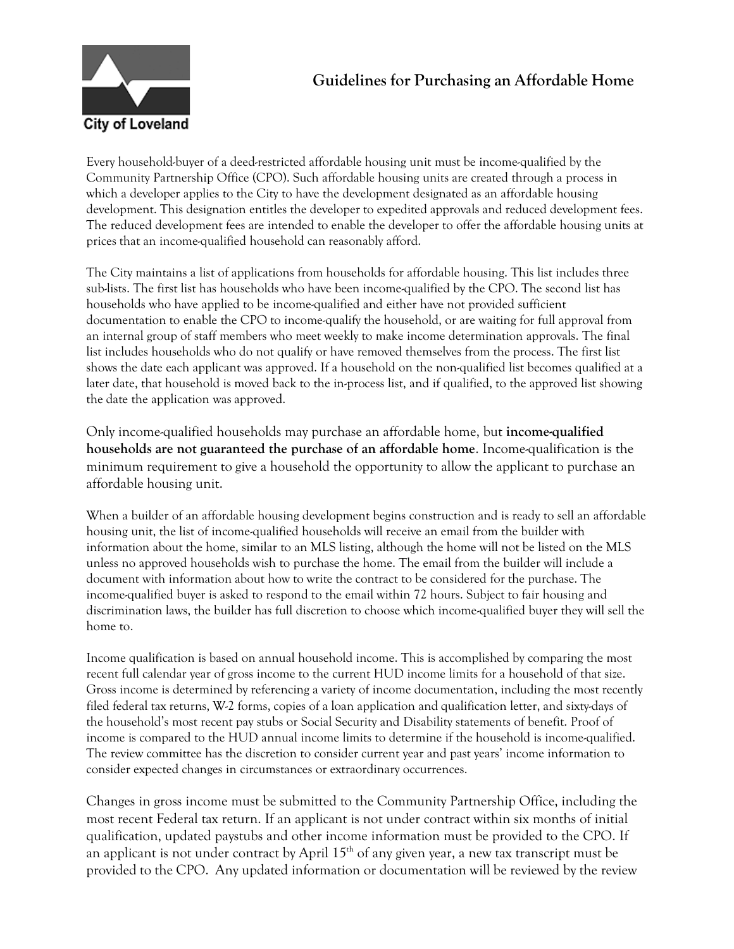# **Guidelines for Purchasing an Affordable Home**



Every household-buyer of a deed-restricted affordable housing unit must be income-qualified by the Community Partnership Office (CPO). Such affordable housing units are created through a process in which a developer applies to the City to have the development designated as an affordable housing development. This designation entitles the developer to expedited approvals and reduced development fees. The reduced development fees are intended to enable the developer to offer the affordable housing units at prices that an income-qualified household can reasonably afford.

The City maintains a list of applications from households for affordable housing. This list includes three sub-lists. The first list has households who have been income-qualified by the CPO. The second list has households who have applied to be income-qualified and either have not provided sufficient documentation to enable the CPO to income-qualify the household, or are waiting for full approval from an internal group of staff members who meet weekly to make income determination approvals. The final list includes households who do not qualify or have removed themselves from the process. The first list shows the date each applicant was approved. If a household on the non-qualified list becomes qualified at a later date, that household is moved back to the in-process list, and if qualified, to the approved list showing the date the application was approved.

Only income-qualified households may purchase an affordable home, but **income-qualified households are not guaranteed the purchase of an affordable home**. Income-qualification is the minimum requirement to give a household the opportunity to allow the applicant to purchase an affordable housing unit.

When a builder of an affordable housing development begins construction and is ready to sell an affordable housing unit, the list of income-qualified households will receive an email from the builder with information about the home, similar to an MLS listing, although the home will not be listed on the MLS unless no approved households wish to purchase the home. The email from the builder will include a document with information about how to write the contract to be considered for the purchase. The income-qualified buyer is asked to respond to the email within 72 hours. Subject to fair housing and discrimination laws, the builder has full discretion to choose which income-qualified buyer they will sell the home to.

Income qualification is based on annual household income. This is accomplished by comparing the most recent full calendar year of gross income to the current HUD income limits for a household of that size. Gross income is determined by referencing a variety of income documentation, including the most recently filed federal tax returns, W-2 forms, copies of a loan application and qualification letter, and sixty-days of the household's most recent pay stubs or Social Security and Disability statements of benefit. Proof of income is compared to the HUD annual income limits to determine if the household is income-qualified. The review committee has the discretion to consider current year and past years' income information to consider expected changes in circumstances or extraordinary occurrences.

Changes in gross income must be submitted to the Community Partnership Office, including the most recent Federal tax return. If an applicant is not under contract within six months of initial qualification, updated paystubs and other income information must be provided to the CPO. If an applicant is not under contract by April  $15<sup>th</sup>$  of any given year, a new tax transcript must be provided to the CPO. Any updated information or documentation will be reviewed by the review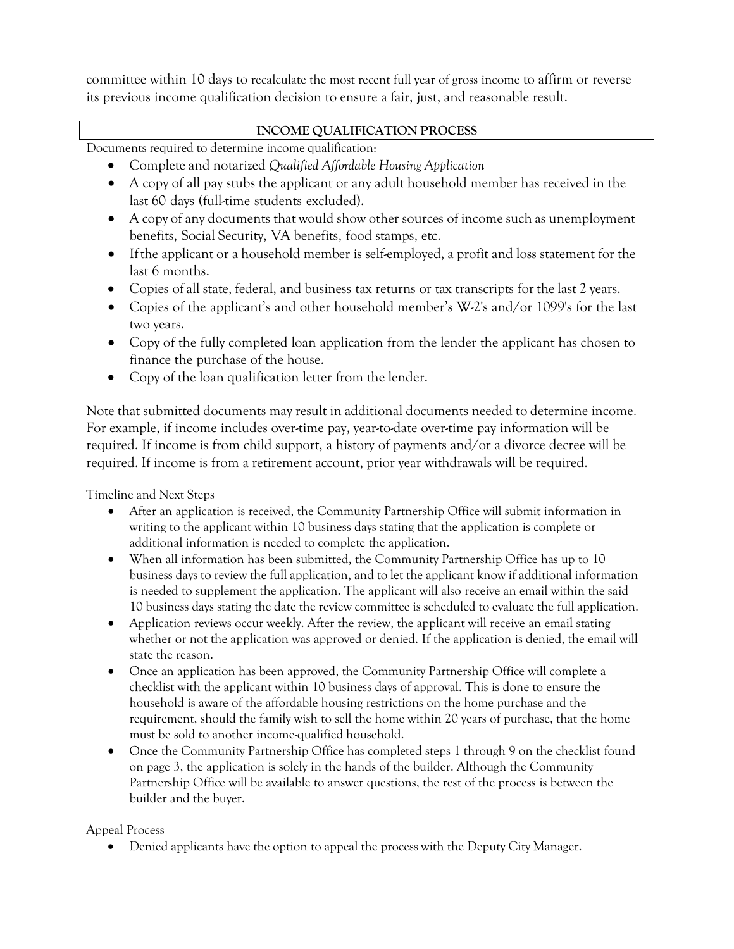committee within 10 days to recalculate the most recent full year of gross income to affirm or reverse its previous income qualification decision to ensure a fair, just, and reasonable result.

#### **INCOME QUALIFICATION PROCESS**

Documents required to determine income qualification:

- Complete and notarized *Qualified Affordable Housing Application*
- A copy of all pay stubs the applicant or any adult household member has received in the last 60 days (full-time students excluded).
- A copy of any documents that would show other sources of income such as unemployment benefits, Social Security, VA benefits, food stamps, etc.
- Ifthe applicant or a household member is self-employed, a profit and loss statement for the last 6 months.
- Copies of all state, federal, and business tax returns or tax transcripts for the last 2 years.
- Copies of the applicant's and other household member's W-2's and/or 1099's for the last two years.
- Copy of the fully completed loan application from the lender the applicant has chosen to finance the purchase of the house.
- Copy of the loan qualification letter from the lender.

Note that submitted documents may result in additional documents needed to determine income. For example, if income includes over-time pay, year-to-date over-time pay information will be required. If income is from child support, a history of payments and/or a divorce decree will be required. If income is from a retirement account, prior year withdrawals will be required.

Timeline and Next Steps

- After an application is received, the Community Partnership Office will submit information in writing to the applicant within 10 business days stating that the application is complete or additional information is needed to complete the application.
- When all information has been submitted, the Community Partnership Office has up to 10 business days to review the full application, and to let the applicant know if additional information is needed to supplement the application. The applicant will also receive an email within the said 10 business days stating the date the review committee is scheduled to evaluate the full application.
- Application reviews occur weekly. After the review, the applicant will receive an email stating whether or not the application was approved or denied. If the application is denied, the email will state the reason.
- Once an application has been approved, the Community Partnership Office will complete a checklist with the applicant within 10 business days of approval. This is done to ensure the household is aware of the affordable housing restrictions on the home purchase and the requirement, should the family wish to sell the home within 20 years of purchase, that the home must be sold to another income-qualified household.
- Once the Community Partnership Office has completed steps 1 through 9 on the checklist found on page 3, the application is solely in the hands of the builder. Although the Community Partnership Office will be available to answer questions, the rest of the process is between the builder and the buyer.

#### Appeal Process

• Denied applicants have the option to appeal the process with the Deputy City Manager.